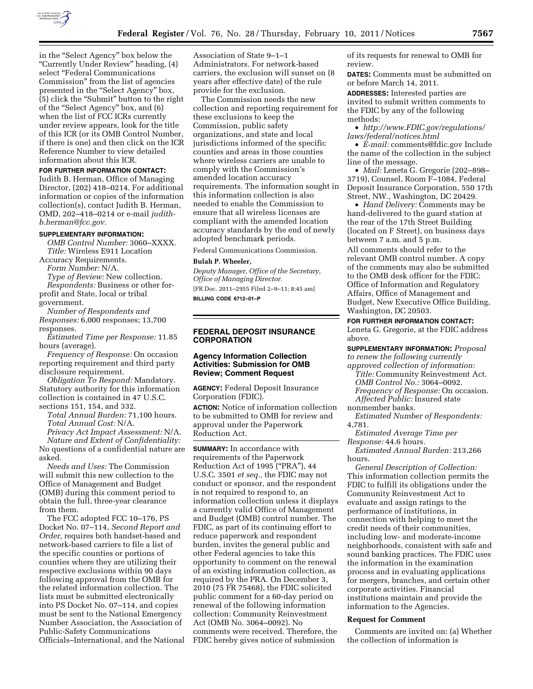

in the ''Select Agency'' box below the ''Currently Under Review'' heading, (4) select "Federal Communications Commission'' from the list of agencies presented in the "Select Agency" box, (5) click the ''Submit'' button to the right of the ''Select Agency'' box, and (6) when the list of FCC ICRs currently under review appears, look for the title of this ICR (or its OMB Control Number, if there is one) and then click on the ICR Reference Number to view detailed information about this ICR.

### **FOR FURTHER INFORMATION CONTACT:**

Judith B. Herman, Office of Managing Director, (202) 418–0214. For additional information or copies of the information collection(s), contact Judith B. Herman, OMD, 202–418–0214 or e-mail *[judith](mailto:judith-b.herman@fcc.gov)[b.herman@fcc.gov.](mailto:judith-b.herman@fcc.gov)* 

### **SUPPLEMENTARY INFORMATION:**

*OMB Control Number:* 3060–XXXX. *Title:* Wireless E911 Location

Accuracy Requirements. *Form Number:* N/A. *Type of Review:* New collection. *Respondents:* Business or other forprofit and State, local or tribal

government.

*Number of Respondents and Responses:* 6,000 responses; 13,700 responses.

*Estimated Time per Response:* 11.85 hours (average).

*Frequency of Response:* On occasion reporting requirement and third party disclosure requirement.

*Obligation To Respond:* Mandatory. Statutory authority for this information collection is contained in 47 U.S.C. sections 151, 154, and 332.

*Total Annual Burden:* 71,100 hours. *Total Annual Cost:* N/A.

*Privacy Act Impact Assessment:* N/A. *Nature and Extent of Confidentiality:*  No questions of a confidential nature are asked.

*Needs and Uses:* The Commission will submit this new collection to the Office of Management and Budget (OMB) during this comment period to obtain the full, three-year clearance from them.

The FCC adopted FCC 10–176, PS Docket No. 07–114, *Second Report and Order,* requires both handset-based and network-based carriers to file a list of the specific counties or portions of counties where they are utilizing their respective exclusions within 90 days following approval from the OMB for the related information collection. The lists must be submitted electronically into PS Docket No. 07–114, and copies must be sent to the National Emergency Number Association, the Association of Public-Safety Communications Officials–International, and the National Association of State 9–1–1 Administrators. For network-based carriers, the exclusion will sunset on (8 years after effective date) of the rule provide for the exclusion.

The Commission needs the new collection and reporting requirement for these exclusions to keep the Commission, public safety organizations, and state and local jurisdictions informed of the specific counties and areas in those counties where wireless carriers are unable to comply with the Commission's amended location accuracy requirements. The information sought in this information collection is also needed to enable the Commission to ensure that all wireless licenses are compliant with the amended location accuracy standards by the end of newly adopted benchmark periods.

Federal Communications Commission.

### **Bulah P. Wheeler,**

*Deputy Manager, Office of the Secretary, Office of Managing Director.*  [FR Doc. 2011–2955 Filed 2–9–11; 8:45 am]

**BILLING CODE 6712–01–P** 

# **FEDERAL DEPOSIT INSURANCE CORPORATION**

# **Agency Information Collection Activities: Submission for OMB Review; Comment Request**

**AGENCY:** Federal Deposit Insurance Corporation (FDIC).

**ACTION:** Notice of information collection to be submitted to OMB for review and approval under the Paperwork Reduction Act.

**SUMMARY:** In accordance with requirements of the Paperwork Reduction Act of 1995 (''PRA''), 44 U.S.C. 3501 *et seq.,* the FDIC may not conduct or sponsor, and the respondent is not required to respond to, an information collection unless it displays a currently valid Office of Management and Budget (OMB) control number. The FDIC, as part of its continuing effort to reduce paperwork and respondent burden, invites the general public and other Federal agencies to take this opportunity to comment on the renewal of an existing information collection, as required by the PRA. On December 3, 2010 (75 FR 75468), the FDIC solicited public comment for a 60-day period on renewal of the following information collection: Community Reinvestment Act (OMB No. 3064–0092). No comments were received. Therefore, the FDIC hereby gives notice of submission

of its requests for renewal to OMB for review.

**DATES:** Comments must be submitted on or before March 14, 2011.

**ADDRESSES:** Interested parties are invited to submit written comments to the FDIC by any of the following methods:

• *[http://www.FDIC.gov/regulations/](http://www.FDIC.gov/regulations/laws/federal/notices.html) [laws/federal/notices.html](http://www.FDIC.gov/regulations/laws/federal/notices.html)* 

• *E-mail:* [comments@fdic.gov](mailto:comments@fdic.gov) Include the name of the collection in the subject line of the message.

• *Mail:* Leneta G. Gregorie (202–898– 3719), Counsel, Room F–1084, Federal Deposit Insurance Corporation, 550 17th Street, NW., Washington, DC 20429.

• *Hand Delivery:* Comments may be hand-delivered to the guard station at the rear of the 17th Street Building (located on F Street), on business days between 7 a.m. and 5 p.m.

All comments should refer to the relevant OMB control number. A copy of the comments may also be submitted to the OMB desk officer for the FDIC: Office of Information and Regulatory Affairs, Office of Management and Budget, New Executive Office Building, Washington, DC 20503.

**FOR FURTHER INFORMATION CONTACT:**  Leneta G. Gregorie, at the FDIC address above.

**SUPPLEMENTARY INFORMATION:** *Proposal to renew the following currently* 

*approved collection of information: Title:* Community Reinvestment Act. *OMB Control No.:* 3064–0092. *Frequency of Response:* On occasion. *Affected Public:* Insured state

nonmember banks.

*Estimated Number of Respondents:*  4,781.

*Estimated Average Time per Response:* 44.6 hours.

*Estimated Annual Burden:* 213,266 hours.

*General Description of Collection:*  This information collection permits the FDIC to fulfill its obligations under the Community Reinvestment Act to evaluate and assign ratings to the performance of institutions, in connection with helping to meet the credit needs of their communities, including low- and moderate-income neighborhoods, consistent with safe and sound banking practices. The FDIC uses the information in the examination process and in evaluating applications for mergers, branches, and certain other corporate activities. Financial institutions maintain and provide the information to the Agencies.

#### **Request for Comment**

Comments are invited on: (a) Whether the collection of information is